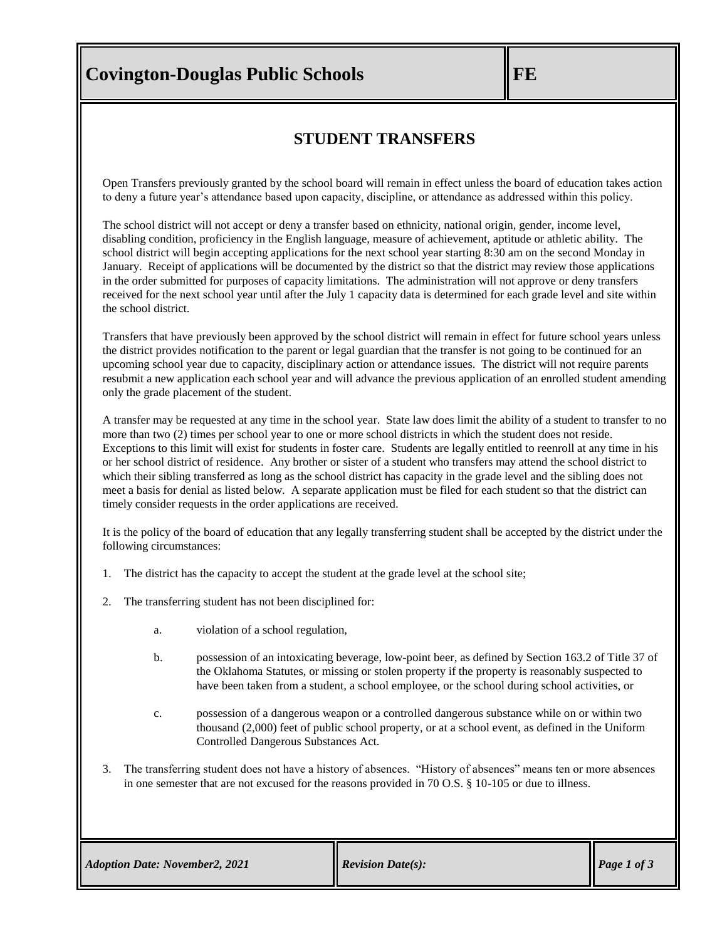# **Covington-Douglas Public Schools FE**

### **STUDENT TRANSFERS**

Open Transfers previously granted by the school board will remain in effect unless the board of education takes action to deny a future year's attendance based upon capacity, discipline, or attendance as addressed within this policy.

The school district will not accept or deny a transfer based on ethnicity, national origin, gender, income level, disabling condition, proficiency in the English language, measure of achievement, aptitude or athletic ability. The school district will begin accepting applications for the next school year starting 8:30 am on the second Monday in January. Receipt of applications will be documented by the district so that the district may review those applications in the order submitted for purposes of capacity limitations. The administration will not approve or deny transfers received for the next school year until after the July 1 capacity data is determined for each grade level and site within the school district.

Transfers that have previously been approved by the school district will remain in effect for future school years unless the district provides notification to the parent or legal guardian that the transfer is not going to be continued for an upcoming school year due to capacity, disciplinary action or attendance issues. The district will not require parents resubmit a new application each school year and will advance the previous application of an enrolled student amending only the grade placement of the student.

A transfer may be requested at any time in the school year. State law does limit the ability of a student to transfer to no more than two (2) times per school year to one or more school districts in which the student does not reside. Exceptions to this limit will exist for students in foster care. Students are legally entitled to reenroll at any time in his or her school district of residence. Any brother or sister of a student who transfers may attend the school district to which their sibling transferred as long as the school district has capacity in the grade level and the sibling does not meet a basis for denial as listed below. A separate application must be filed for each student so that the district can timely consider requests in the order applications are received.

It is the policy of the board of education that any legally transferring student shall be accepted by the district under the following circumstances:

- 1. The district has the capacity to accept the student at the grade level at the school site;
- 2. The transferring student has not been disciplined for:
	- a. violation of a school regulation,
	- b. possession of an intoxicating beverage, low-point beer, as defined by [Section 163.2](https://www.oscn.net/applications/oscn/DeliverDocument.asp?citeid=77990) of Title 37 of the Oklahoma Statutes, or missing or stolen property if the property is reasonably suspected to have been taken from a student, a school employee, or the school during school activities, or
	- c. possession of a dangerous weapon or a controlled dangerous substance while on or within two thousand (2,000) feet of public school property, or at a school event, as defined in the Uniform Controlled Dangerous Substances Act.
- 3. The transferring student does not have a history of absences. "History of absences" means ten or more absences in one semester that are not excused for the reasons provided in 70 O.S. § 10-105 or due to illness.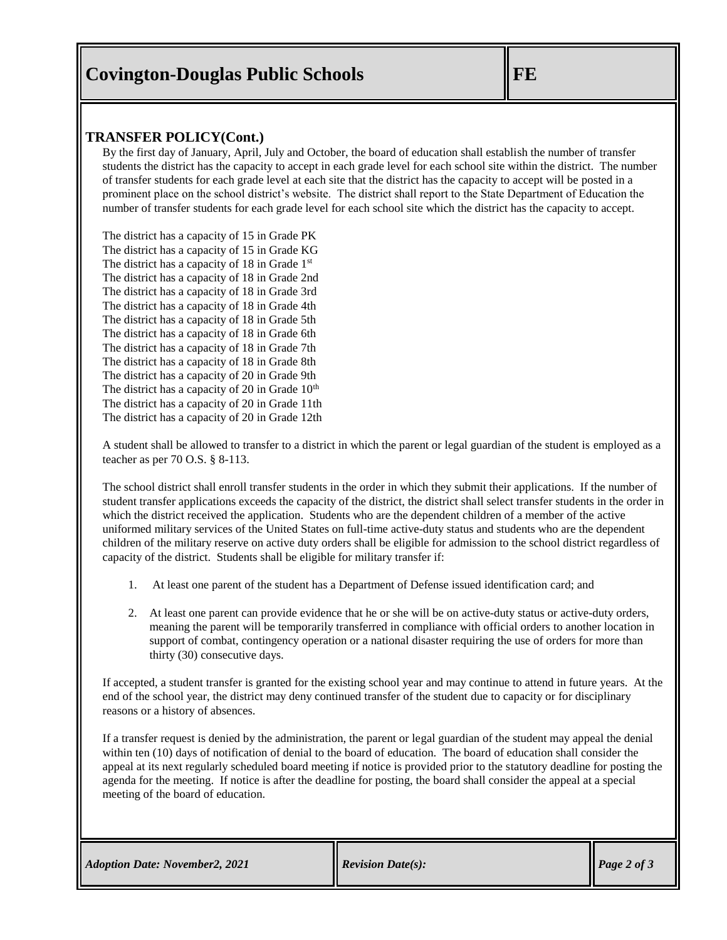## **Covington-Douglas Public Schools FE**

#### **TRANSFER POLICY(Cont.)**

By the first day of January, April, July and October, the board of education shall establish the number of transfer students the district has the capacity to accept in each grade level for each school site within the district. The number of transfer students for each grade level at each site that the district has the capacity to accept will be posted in a prominent place on the school district's website. The district shall report to the State Department of Education the number of transfer students for each grade level for each school site which the district has the capacity to accept.

The district has a capacity of 15 in Grade PK The district has a capacity of 15 in Grade KG The district has a capacity of 18 in Grade 1<sup>st</sup> The district has a capacity of 18 in Grade 2nd The district has a capacity of 18 in Grade 3rd The district has a capacity of 18 in Grade 4th The district has a capacity of 18 in Grade 5th The district has a capacity of 18 in Grade 6th The district has a capacity of 18 in Grade 7th The district has a capacity of 18 in Grade 8th The district has a capacity of 20 in Grade 9th The district has a capacity of 20 in Grade  $10<sup>th</sup>$ The district has a capacity of 20 in Grade 11th The district has a capacity of 20 in Grade 12th

A student shall be allowed to transfer to a district in which the parent or legal guardian of the student is employed as a teacher as per 70 O.S. § 8-113.

The school district shall enroll transfer students in the order in which they submit their applications. If the number of student transfer applications exceeds the capacity of the district, the district shall select transfer students in the order in which the district received the application. Students who are the dependent children of a member of the active uniformed military services of the United States on full-time active-duty status and students who are the dependent children of the military reserve on active duty orders shall be eligible for admission to the school district regardless of capacity of the district. Students shall be eligible for military transfer if:

- 1. At least one parent of the student has a Department of Defense issued identification card; and
- 2. At least one parent can provide evidence that he or she will be on active-duty status or active-duty orders, meaning the parent will be temporarily transferred in compliance with official orders to another location in support of combat, contingency operation or a national disaster requiring the use of orders for more than thirty (30) consecutive days.

If accepted, a student transfer is granted for the existing school year and may continue to attend in future years. At the end of the school year, the district may deny continued transfer of the student due to capacity or for disciplinary reasons or a history of absences.

If a transfer request is denied by the administration, the parent or legal guardian of the student may appeal the denial within ten (10) days of notification of denial to the board of education. The board of education shall consider the appeal at its next regularly scheduled board meeting if notice is provided prior to the statutory deadline for posting the agenda for the meeting. If notice is after the deadline for posting, the board shall consider the appeal at a special meeting of the board of education.